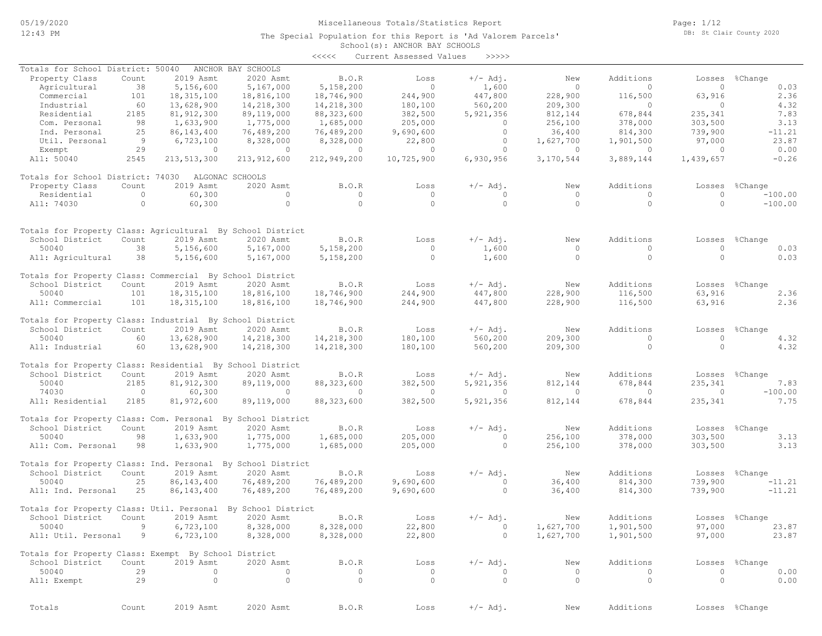The Special Population for this Report is 'Ad Valorem Parcels'

Page: 1/12 DB: St Clair County 2020

# School(s): ANCHOR BAY SCHOOLS

|                                                                               |         |               |                    | <<<<           | Current Assessed Values | >>>>>          |                 |           |                |                |
|-------------------------------------------------------------------------------|---------|---------------|--------------------|----------------|-------------------------|----------------|-----------------|-----------|----------------|----------------|
| Totals for School District: 50040                                             |         |               | ANCHOR BAY SCHOOLS |                |                         |                |                 |           |                |                |
| Property Class                                                                | Count   | 2019 Asmt     | 2020 Asmt          | B.O.R          | Loss                    | $+/-$ Adj.     | New             | Additions | Losses         | %Change        |
| Agricultural                                                                  | 38      | 5,156,600     | 5,167,000          | 5,158,200      | $\circ$                 | 1,600          | $\circ$         | $\Omega$  | $\circ$        | 0.03           |
| Commercial                                                                    | 101     | 18, 315, 100  | 18,816,100         | 18,746,900     | 244,900                 | 447,800        | 228,900         | 116,500   | 63,916         | 2.36           |
| Industrial                                                                    | 60      | 13,628,900    | 14,218,300         | 14,218,300     | 180,100                 | 560,200        | 209,300         | $\circ$   | $\circ$        | 4.32           |
| Residential                                                                   | 2185    | 81, 912, 300  | 89,119,000         | 88, 323, 600   | 382,500                 | 5,921,356      | 812,144         | 678,844   | 235,341        | 7.83           |
| Com. Personal                                                                 | 98      | 1,633,900     | 1,775,000          | 1,685,000      | 205,000                 | $\circ$        | 256,100         | 378,000   | 303,500        | 3.13           |
| Ind. Personal                                                                 | 25      | 86, 143, 400  | 76,489,200         | 76,489,200     | 9,690,600               | $\circ$        | 36,400          | 814,300   | 739,900        | $-11.21$       |
| Util. Personal                                                                | 9       | 6,723,100     | 8,328,000          | 8,328,000      | 22,800                  | $\circ$        | 1,627,700       | 1,901,500 | 97,000         | 23.87          |
| Exempt                                                                        | 29      | $\circ$       | $\overline{0}$     | $\overline{0}$ | $\circ$                 | $\circ$        | $\circ$         | $\circ$   | $\Omega$       | 0.00           |
| All: 50040                                                                    | 2545    | 213, 513, 300 | 213, 912, 600      | 212,949,200    | 10,725,900              | 6,930,956      | 3,170,544       | 3,889,144 | 1,439,657      | $-0.26$        |
| Totals for School District: 74030                                             |         |               | ALGONAC SCHOOLS    |                |                         |                |                 |           |                |                |
| Property Class                                                                | Count   | 2019 Asmt     | 2020 Asmt          | B.O.R          | Loss                    | $+/-$ Adj.     | New             | Additions | Losses         | %Change        |
| Residential                                                                   | $\circ$ | 60,300        | $\circ$            | $\circ$        | $\circ$                 | $\circ$        | $\circ$         | $\Omega$  | $\circ$        | $-100.00$      |
| All: 74030                                                                    | $\circ$ | 60,300        | $\circ$            | $\circ$        | $\Omega$                | $\circ$        | $\circ$         | $\circ$   | $\Omega$       | $-100.00$      |
|                                                                               |         |               |                    |                |                         |                |                 |           |                |                |
| Totals for Property Class: Agricultural By School District<br>School District | Count   | 2019 Asmt     | 2020 Asmt          | B.O.R          | Loss                    | $+/-$ Adj.     | New             | Additions | Losses         | %Change        |
| 50040                                                                         | 38      | 5,156,600     | 5,167,000          | 5,158,200      | $\circ$                 | 1,600          | $\circ$         | $\circ$   | $\Omega$       | 0.03           |
|                                                                               | 38      |               | 5,167,000          |                | $\circ$                 | 1,600          | $\circ$         | $\circ$   | $\Omega$       | 0.03           |
| All: Agricultural                                                             |         | 5,156,600     |                    | 5,158,200      |                         |                |                 |           |                |                |
| Totals for Property Class: Commercial By School District                      |         |               |                    |                |                         |                |                 |           |                |                |
| School District                                                               | Count   | 2019 Asmt     | 2020 Asmt          | B.O.R          | Loss                    | $+/-$ Adj.     | New             | Additions |                | Losses %Change |
| 50040                                                                         | 101     | 18, 315, 100  | 18,816,100         | 18,746,900     | 244,900                 | 447,800        | 228,900         | 116,500   | 63,916         | 2.36           |
| All: Commercial                                                               | 101     | 18, 315, 100  | 18,816,100         | 18,746,900     | 244,900                 | 447,800        | 228,900         | 116,500   | 63,916         | 2.36           |
| Totals for Property Class: Industrial By School District                      |         |               |                    |                |                         |                |                 |           |                |                |
| School District                                                               | Count   | 2019 Asmt     | 2020 Asmt          | B.O.R          | Loss                    | $+/-$ Adj.     | New             | Additions | Losses         | %Change        |
| 50040                                                                         | 60      | 13,628,900    | 14,218,300         | 14,218,300     | 180,100                 | 560,200        | 209,300         | $\Omega$  | $\circ$        | 4.32           |
| All: Industrial                                                               | 60      | 13,628,900    | 14,218,300         | 14,218,300     | 180,100                 | 560,200        | 209,300         | $\circ$   | $\circ$        | 4.32           |
| Totals for Property Class: Residential By School District                     |         |               |                    |                |                         |                |                 |           |                |                |
| School District                                                               | Count   | 2019 Asmt     | 2020 Asmt          | B.O.R          | Loss                    | $+/-$ Adj.     | New             | Additions | Losses         | %Change        |
| 50040                                                                         | 2185    | 81, 912, 300  | 89,119,000         | 88, 323, 600   | 382,500                 | 5,921,356      | 812,144         | 678,844   | 235,341        | 7.83           |
| 74030                                                                         | $\circ$ | 60,300        | $\circ$            | $\circ$        | $\circ$                 | $\circ$        | $\circ$         | $\circ$   | $\circ$        | $-100.00$      |
| All: Residential                                                              | 2185    | 81,972,600    | 89,119,000         | 88, 323, 600   | 382,500                 | 5,921,356      | 812,144         | 678,844   | 235,341        | 7.75           |
|                                                                               |         |               |                    |                |                         |                |                 |           |                |                |
| Totals for Property Class: Com. Personal By School District                   |         |               |                    |                |                         |                |                 |           |                |                |
| School District                                                               | Count   | 2019 Asmt     | 2020 Asmt          | B.O.R          | Loss                    | $+/-$ Adj.     | New             | Additions | Losses         | %Change        |
| 50040                                                                         | 98      | 1,633,900     | 1,775,000          | 1,685,000      | 205,000                 | $\Omega$       | 256,100         | 378,000   | 303,500        | 3.13           |
| All: Com. Personal                                                            | 98      | 1,633,900     | 1,775,000          | 1,685,000      | 205,000                 | $\circ$        | 256,100         | 378,000   | 303,500        | 3.13           |
| Totals for Property Class: Ind. Personal By School District                   |         |               |                    |                |                         |                |                 |           |                |                |
| School District                                                               | Count   | 2019 Asmt     | 2020 Asmt          | B.O.R          | Loss                    | $+/-$ Adj.     | New             | Additions | Losses         | %Change        |
| 50040                                                                         | 25      | 86, 143, 400  | 76,489,200         | 76,489,200     | 9,690,600               | $\circ$        | 36,400          | 814,300   | 739,900        | $-11.21$       |
| All: Ind. Personal                                                            | 25      | 86, 143, 400  | 76,489,200         | 76,489,200     | 9,690,600               | $\circ$        | 36,400          | 814,300   | 739,900        | $-11.21$       |
| Totals for Property Class: Util. Personal By School District                  |         |               |                    |                |                         |                |                 |           |                |                |
| School District                                                               | Count   | 2019 Asmt     | 2020 Asmt          | B.O.R          | Loss                    | $+/-$ Adj.     | New New Reserve | Additions |                | Losses %Change |
| 50040                                                                         | -9      | 6,723,100     | 8,328,000          | 8,328,000      | 22,800                  | $\overline{0}$ | 1,627,700       | 1,901,500 | 97,000         | 23.87          |
| All: Util. Personal 9                                                         |         | 6,723,100     | 8,328,000          | 8,328,000      | 22,800                  | $\circ$        | 1,627,700       | 1,901,500 | 97,000         | 23.87          |
| Totals for Property Class: Exempt By School District                          |         |               |                    |                |                         |                |                 |           |                |                |
| School District                                                               | Count   | 2019 Asmt     | 2020 Asmt          | B.O.R          | Loss                    | $+/-$ Adj.     | New             | Additions |                | Losses %Change |
| 50040                                                                         | 29      | $\circ$       | $\circ$            | $\circ$        | $\circ$                 | $\circ$        | $\circ$         | $\circ$   | $\overline{0}$ | 0.00           |
| All: Exempt                                                                   | 29      | $\circ$       | $\circ$            | $\circ$        | $\circ$                 | $\circ$        | $\circ$         | $\circ$   | $\circ$        | 0.00           |
|                                                                               |         |               |                    |                |                         |                |                 |           |                |                |
| Totals                                                                        | Count   | 2019 Asmt     | 2020 Asmt          | B.O.R          | Loss                    | $+/-$ Adj.     | New             | Additions |                | Losses %Change |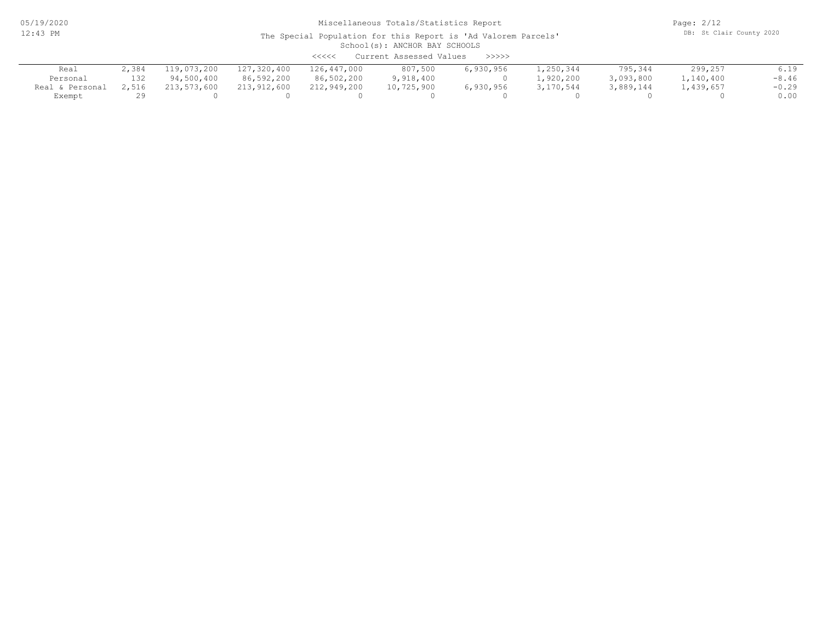05/19/2020 12:43 PM

### Miscellaneous Totals/Statistics Report

Page: 2/12 DB: St Clair County 2020

#### School(s): ANCHOR BAY SCHOOLS The Special Population for this Report is 'Ad Valorem Parcels'

|                 |       |             |             | <<<<        | Current Assessed Values | >>>>>     |           |           |           |         |
|-----------------|-------|-------------|-------------|-------------|-------------------------|-----------|-----------|-----------|-----------|---------|
| Real            | 2,384 | 119,073,200 | 127,320,400 | 126,447,000 | 807,500                 | 6,930,956 | 1,250,344 | 795,344   | 299,257   | 6.19    |
| Personal        | 132   | 94,500,400  | 86,592,200  | 86,502,200  | 9,918,400               |           | 1,920,200 | 3,093,800 | 1,140,400 | $-8.46$ |
| Real & Personal | 2,516 | 213,573,600 | 213,912,600 | 212,949,200 | 10,725,900              | 6,930,956 | 3,170,544 | 3,889,144 | 1,439,657 | $-0.29$ |
| Exempt          |       |             |             |             |                         |           |           |           |           | 0.00    |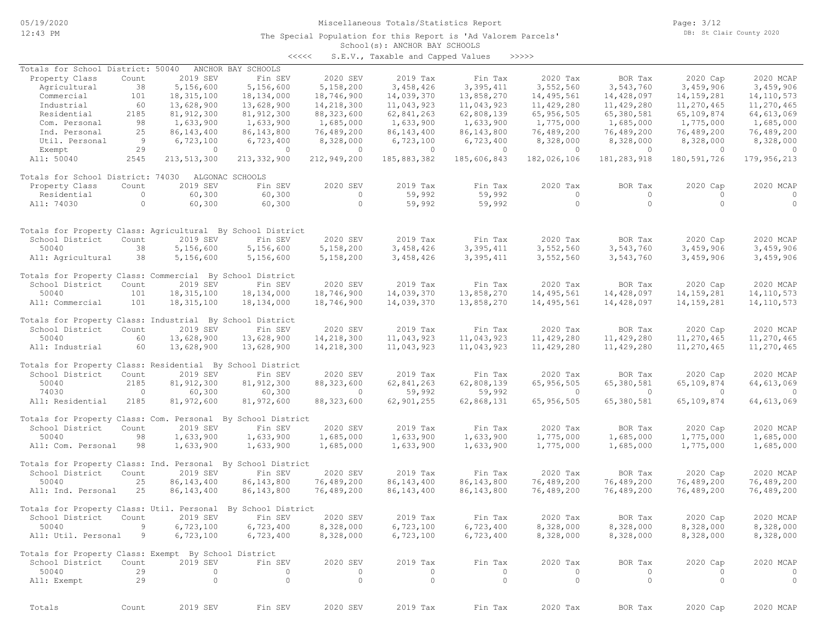The Special Population for this Report is 'Ad Valorem Parcels'

Page: 3/12 DB: St Clair County 2020

### School(s): ANCHOR BAY SCHOOLS

| くくくくく | S.E.V., Taxable and Capped Values |  |  | >>>>>> |
|-------|-----------------------------------|--|--|--------|
|       |                                   |  |  |        |

| Totals for School District: 50040                                             |         |               | ANCHOR BAY SCHOOLS |                |              |              |                |               |              |              |
|-------------------------------------------------------------------------------|---------|---------------|--------------------|----------------|--------------|--------------|----------------|---------------|--------------|--------------|
| Property Class                                                                | Count   | 2019 SEV      | Fin SEV            | 2020 SEV       | 2019 Tax     | Fin Tax      | 2020 Tax       | BOR Tax       | 2020 Cap     | 2020 MCAP    |
| Agricultural                                                                  | 38      | 5,156,600     | 5,156,600          | 5,158,200      | 3,458,426    | 3,395,411    | 3,552,560      | 3,543,760     | 3,459,906    | 3,459,906    |
| Commercial                                                                    | 101     | 18, 315, 100  | 18,134,000         | 18,746,900     | 14,039,370   | 13,858,270   | 14,495,561     | 14,428,097    | 14, 159, 281 | 14, 110, 573 |
| Industrial                                                                    | 60      | 13,628,900    | 13,628,900         | 14,218,300     | 11,043,923   | 11,043,923   | 11,429,280     | 11,429,280    | 11,270,465   | 11,270,465   |
| Residential                                                                   | 2185    | 81, 912, 300  | 81, 912, 300       | 88, 323, 600   | 62,841,263   | 62,808,139   | 65, 956, 505   | 65,380,581    | 65,109,874   | 64, 613, 069 |
| Com. Personal                                                                 | 98      | 1,633,900     | 1,633,900          | 1,685,000      | 1,633,900    | 1,633,900    | 1,775,000      | 1,685,000     | 1,775,000    | 1,685,000    |
| Ind. Personal                                                                 | 25      | 86, 143, 400  | 86,143,800         | 76,489,200     | 86, 143, 400 | 86, 143, 800 | 76,489,200     | 76,489,200    | 76,489,200   | 76,489,200   |
| Util. Personal                                                                | 9       | 6,723,100     | 6,723,400          | 8,328,000      | 6,723,100    | 6,723,400    | 8,328,000      | 8,328,000     | 8,328,000    | 8,328,000    |
| Exempt                                                                        | 29      | $\circ$       | $\circ$            | $\circ$        | $\circ$      | $\circ$      | $\circ$        | $\circ$       | $\circ$      | $\circ$      |
| All: 50040                                                                    | 2545    | 213, 513, 300 | 213, 332, 900      | 212,949,200    | 185,883,382  | 185,606,843  | 182,026,106    | 181, 283, 918 | 180,591,726  | 179,956,213  |
| Totals for School District: 74030                                             |         |               | ALGONAC SCHOOLS    |                |              |              |                |               |              |              |
| Property Class                                                                | Count   | 2019 SEV      | Fin SEV            | 2020 SEV       | 2019 Tax     | Fin Tax      | 2020 Tax       | BOR Tax       | 2020 Cap     | 2020 MCAP    |
| Residential                                                                   | $\circ$ | 60,300        | 60,300             | $\circ$        | 59,992       | 59,992       | $\circ$        | $\circ$       | $\circ$      | $\circ$      |
| All: 74030                                                                    | $\circ$ | 60,300        | 60,300             | $\circ$        | 59,992       | 59,992       | $\circ$        | $\circ$       | $\circ$      | $\circ$      |
|                                                                               |         |               |                    |                |              |              |                |               |              |              |
| Totals for Property Class: Agricultural By School District<br>School District | Count   | 2019 SEV      | Fin SEV            | 2020 SEV       | 2019 Tax     | Fin Tax      | 2020 Tax       | BOR Tax       | 2020 Cap     | 2020 MCAP    |
| 50040                                                                         | 38      | 5,156,600     | 5,156,600          | 5,158,200      | 3,458,426    | 3,395,411    | 3,552,560      | 3,543,760     | 3,459,906    | 3,459,906    |
| All: Agricultural                                                             | 38      | 5,156,600     | 5,156,600          | 5,158,200      | 3,458,426    | 3,395,411    | 3,552,560      | 3,543,760     | 3,459,906    | 3,459,906    |
| Totals for Property Class: Commercial By School District                      |         |               |                    |                |              |              |                |               |              |              |
| School District                                                               | Count   | 2019 SEV      | Fin SEV            | 2020 SEV       | 2019 Tax     | Fin Tax      | 2020 Tax       | BOR Tax       | 2020 Cap     | 2020 MCAP    |
| 50040                                                                         | 101     | 18, 315, 100  | 18,134,000         | 18,746,900     | 14,039,370   | 13,858,270   | 14,495,561     | 14,428,097    | 14, 159, 281 | 14, 110, 573 |
| All: Commercial                                                               | 101     | 18, 315, 100  | 18,134,000         | 18,746,900     | 14,039,370   | 13,858,270   | 14,495,561     | 14,428,097    | 14, 159, 281 | 14, 110, 573 |
| Totals for Property Class: Industrial By School District                      |         |               |                    |                |              |              |                |               |              |              |
| School District                                                               | Count   | 2019 SEV      | Fin SEV            | 2020 SEV       | 2019 Tax     | Fin Tax      | 2020 Tax       | BOR Tax       | 2020 Cap     | 2020 MCAP    |
| 50040                                                                         | 60      | 13,628,900    | 13,628,900         | 14,218,300     | 11,043,923   | 11,043,923   | 11,429,280     | 11,429,280    | 11,270,465   | 11,270,465   |
| All: Industrial                                                               | 60      | 13,628,900    | 13,628,900         | 14,218,300     | 11,043,923   | 11,043,923   | 11,429,280     | 11,429,280    | 11,270,465   | 11,270,465   |
| Totals for Property Class: Residential By School District                     |         |               |                    |                |              |              |                |               |              |              |
| School District                                                               | Count   | 2019 SEV      | Fin SEV            | 2020 SEV       | 2019 Tax     | Fin Tax      | 2020 Tax       | BOR Tax       | 2020 Cap     | 2020 MCAP    |
| 50040                                                                         | 2185    | 81, 912, 300  | 81, 912, 300       | 88, 323, 600   | 62, 841, 263 | 62,808,139   | 65,956,505     | 65,380,581    | 65,109,874   | 64,613,069   |
| 74030                                                                         | $\circ$ | 60,300        | 60,300             | $\overline{0}$ | 59,992       | 59,992       | $\overline{0}$ | $\circ$       | $\circ$      | $\circ$      |
| All: Residential                                                              | 2185    | 81,972,600    | 81,972,600         | 88, 323, 600   | 62,901,255   | 62,868,131   | 65,956,505     | 65,380,581    | 65,109,874   | 64,613,069   |
| Totals for Property Class: Com. Personal By School District                   |         |               |                    |                |              |              |                |               |              |              |
| School District                                                               | Count   | 2019 SEV      | Fin SEV            | 2020 SEV       | 2019 Tax     | Fin Tax      | 2020 Tax       | BOR Tax       | 2020 Cap     | 2020 MCAP    |
| 50040                                                                         | 98      | 1,633,900     | 1,633,900          | 1,685,000      | 1,633,900    | 1,633,900    | 1,775,000      | 1,685,000     | 1,775,000    | 1,685,000    |
| All: Com. Personal                                                            | 98      | 1,633,900     | 1,633,900          | 1,685,000      | 1,633,900    | 1,633,900    | 1,775,000      | 1,685,000     | 1,775,000    | 1,685,000    |
| Totals for Property Class: Ind. Personal By School District                   |         |               |                    |                |              |              |                |               |              |              |
| School District                                                               | Count   | 2019 SEV      | Fin SEV            | 2020 SEV       | 2019 Tax     | Fin Tax      | 2020 Tax       | BOR Tax       | 2020 Cap     | 2020 MCAP    |
| 50040                                                                         | 25      | 86, 143, 400  | 86, 143, 800       | 76,489,200     | 86, 143, 400 | 86, 143, 800 | 76,489,200     | 76,489,200    | 76,489,200   | 76,489,200   |
| All: Ind. Personal                                                            | 25      | 86, 143, 400  | 86, 143, 800       | 76,489,200     | 86, 143, 400 | 86, 143, 800 | 76,489,200     | 76,489,200    | 76,489,200   | 76,489,200   |
| Totals for Property Class: Util. Personal By School District                  |         |               |                    |                |              |              |                |               |              |              |
| School District                                                               | Count   | 2019 SEV      | Fin SEV            | 2020 SEV       | 2019 Tax     | Fin Tax      | 2020 Tax       | BOR Tax       | 2020 Cap     | 2020 MCAP    |
| 50040                                                                         | 9       | 6,723,100     | 6,723,400          | 8,328,000      | 6,723,100    | 6,723,400    | 8,328,000      | 8,328,000     | 8,328,000    | 8,328,000    |
| All: Util. Personal                                                           | 9       | 6,723,100     | 6,723,400          | 8,328,000      | 6,723,100    | 6,723,400    | 8,328,000      | 8,328,000     | 8,328,000    | 8,328,000    |
| Totals for Property Class: Exempt By School District                          |         |               |                    |                |              |              |                |               |              |              |
| School District                                                               | Count   | 2019 SEV      | Fin SEV            | 2020 SEV       | 2019 Tax     | Fin Tax      | 2020 Tax       | BOR Tax       | 2020 Cap     | 2020 MCAP    |
| 50040                                                                         | 29      | 0             | $\circ$            | $\circ$        | $\circ$      | 0            | 0              | $\circ$       | 0            | 0            |
| All: Exempt                                                                   | 29      | $\circ$       | $\circ$            | $\circ$        | $\circ$      | $\circ$      | $\circ$        | $\circ$       | $\circ$      | $\circ$      |
|                                                                               |         |               |                    |                |              |              |                |               |              |              |
| Totals                                                                        | Count   | 2019 SEV      | Fin SEV            | 2020 SEV       | 2019 Tax     | Fin Tax      | 2020 Tax       | BOR Tax       | 2020 Cap     | 2020 MCAP    |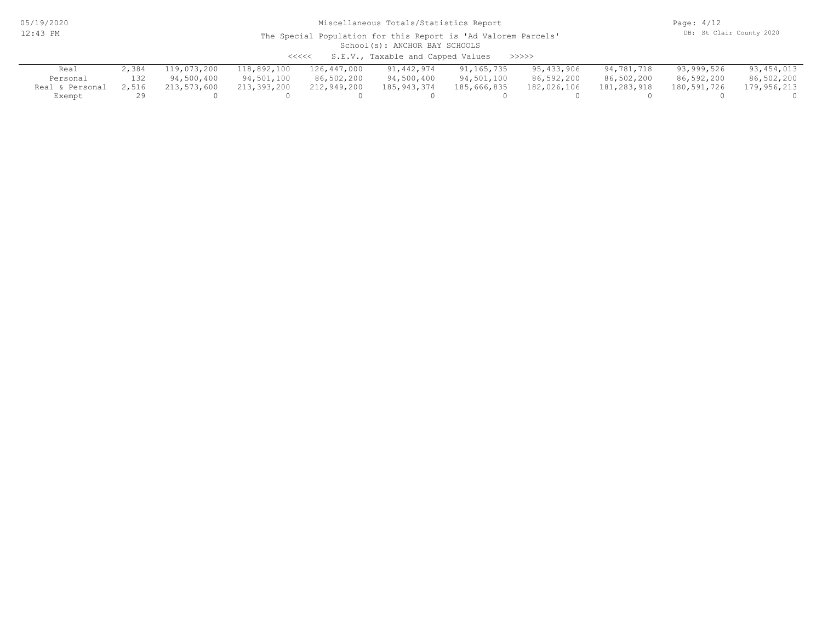05/19/2020 12:43 PM

# Miscellaneous Totals/Statistics Report

Page: 4/12 DB: St Clair County 2020

#### School(s): ANCHOR BAY SCHOOLS The Special Population for this Report is 'Ad Valorem Parcels'

<<<<< S.E.V., Taxable and Capped Values >>>>>

| Real            |       | 119,073,200 | 118,892,100 | 126,447,000 | 91,442,974  | 91,165,735  | 95,433,906  | 94,781,718  | 93,999,526  | 93,454,013  |
|-----------------|-------|-------------|-------------|-------------|-------------|-------------|-------------|-------------|-------------|-------------|
| Personal        | 132   | 94,500,400  | 94,501,100  | 86,502,200  | 94,500,400  | 94,501,100  | 86,592,200  | 86,502,200  | 86,592,200  | 86,502,200  |
| Real & Personal | 2,516 | 213,573,600 | 213,393,200 | 212,949,200 | 185,943,374 | 185,666,835 | 182,026,106 | 181,283,918 | 180,591,726 | 179,956,213 |
| Exempt          |       |             |             |             |             |             |             |             |             |             |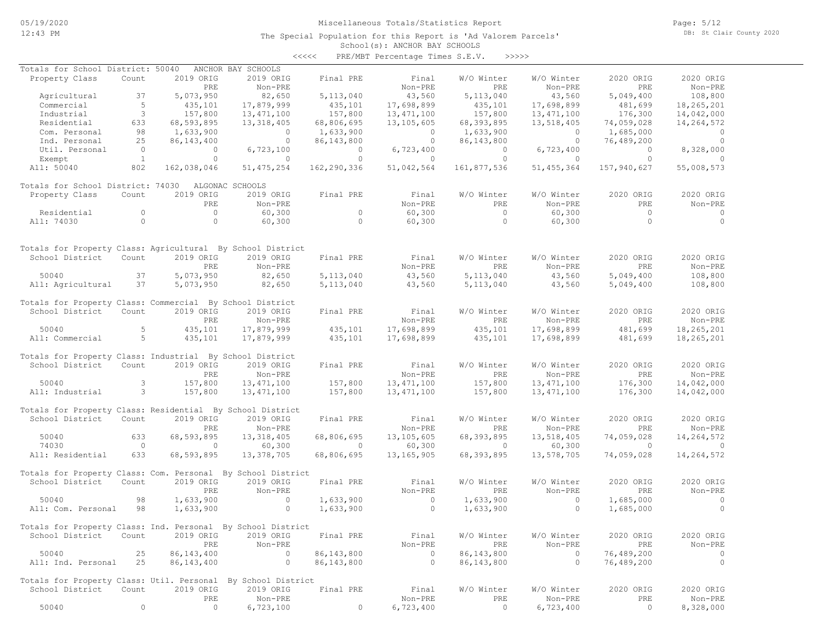The Special Population for this Report is 'Ad Valorem Parcels'

Page: 5/12 DB: St Clair County 2020

#### School(s): ANCHOR BAY SCHOOLS <<<<< PRE/MBT Percentage Times S.E.V. >>>>>

| Totals for School District: 50040                            |                |              | ANCHOR BAY SCHOOLS |             |              |              |              |             |                |
|--------------------------------------------------------------|----------------|--------------|--------------------|-------------|--------------|--------------|--------------|-------------|----------------|
| Property Class                                               | Count          | 2019 ORIG    | 2019 ORIG          | Final PRE   | Final        | W/O Winter   | W/O Winter   | 2020 ORIG   | 2020 ORIG      |
|                                                              |                | PRE          | Non-PRE            |             | Non-PRE      | PRE          | Non-PRE      | PRE         | Non-PRE        |
| Agricultural                                                 | 37             | 5,073,950    | 82,650             | 5, 113, 040 | 43,560       | 5, 113, 040  | 43,560       | 5,049,400   | 108,800        |
| Commercial                                                   | 5              | 435,101      | 17,879,999         | 435,101     | 17,698,899   | 435,101      | 17,698,899   | 481,699     | 18,265,201     |
| Industrial                                                   | 3              | 157,800      | 13, 471, 100       | 157,800     | 13, 471, 100 | 157,800      | 13, 471, 100 | 176,300     | 14,042,000     |
| Residential                                                  | 633            | 68,593,895   | 13, 318, 405       | 68,806,695  | 13,105,605   | 68,393,895   | 13,518,405   | 74,059,028  | 14,264,572     |
| Com. Personal                                                | 98             | 1,633,900    | $\circ$            | 1,633,900   | $\circ$      | 1,633,900    | $\circ$      | 1,685,000   | $\circ$        |
| Ind. Personal                                                | 25             | 86, 143, 400 | $\circ$            | 86,143,800  | $\circ$      | 86, 143, 800 | $\circ$      | 76,489,200  | $\circ$        |
| Util. Personal                                               | $\overline{0}$ | $\circ$      | 6,723,100          | $\circ$     | 6,723,400    | $\circ$      | 6,723,400    | $\Omega$    | 8,328,000      |
| Exempt                                                       | $\mathbf{1}$   | $\Omega$     | $\Omega$           | $\circ$     | $\circ$      | $\circ$      | $\circ$      | $\circ$     | $\Omega$       |
| All: 50040                                                   | 802            | 162,038,046  | 51, 475, 254       | 162,290,336 | 51,042,564   | 161,877,536  | 51, 455, 364 | 157,940,627 | 55,008,573     |
| Totals for School District: 74030                            |                |              | ALGONAC SCHOOLS    |             |              |              |              |             |                |
| Property Class                                               | Count          | 2019 ORIG    | 2019 ORIG          | Final PRE   | Final        | W/O Winter   | W/O Winter   | 2020 ORIG   | 2020 ORIG      |
|                                                              |                | PRE          | Non-PRE            |             | Non-PRE      | PRE          | $Non-PRE$    | PRE         | Non-PRE        |
| Residential                                                  | $\circ$        | $\circ$      | 60,300             | $\circ$     | 60,300       | $\circ$      | 60, 300      | $\Omega$    | $\circ$        |
| All: 74030                                                   | $\circ$        | $\circ$      | 60,300             | $\circ$     | 60, 300      | $\circ$      | 60,300       | $\circ$     | $\circ$        |
|                                                              |                |              |                    |             |              |              |              |             |                |
| Totals for Property Class: Agricultural By School District   |                |              |                    |             |              |              |              |             |                |
| School District                                              | Count          | 2019 ORIG    | 2019 ORIG          | Final PRE   | Final        | W/O Winter   | W/O Winter   | 2020 ORIG   | 2020 ORIG      |
|                                                              |                | PRE          | Non-PRE            |             | Non-PRE      | PRE          | Non-PRE      | PRE         | Non-PRE        |
| 50040                                                        | 37             | 5,073,950    | 82,650             | 5,113,040   | 43,560       | 5, 113, 040  | 43,560       | 5,049,400   | 108,800        |
| All: Agricultural                                            | 37             | 5,073,950    | 82,650             | 5, 113, 040 | 43,560       | 5, 113, 040  | 43,560       | 5,049,400   | 108,800        |
| Totals for Property Class: Commercial By School District     |                |              |                    |             |              |              |              |             |                |
| School District                                              | Count          | 2019 ORIG    | 2019 ORIG          | Final PRE   | Final        | W/O Winter   | W/O Winter   | 2020 ORIG   | 2020 ORIG      |
|                                                              |                | <b>PRE</b>   | Non-PRE            |             | Non-PRE      | PRE          | Non-PRE      | <b>PRE</b>  | Non-PRE        |
| 50040                                                        | 5              | 435,101      | 17,879,999         | 435,101     | 17,698,899   | 435,101      | 17,698,899   | 481,699     | 18,265,201     |
| All: Commercial                                              | 5              | 435,101      | 17,879,999         | 435,101     | 17,698,899   | 435,101      | 17,698,899   | 481,699     | 18,265,201     |
| Totals for Property Class: Industrial By School District     |                |              |                    |             |              |              |              |             |                |
| School District                                              | Count          | 2019 ORIG    | 2019 ORIG          | Final PRE   | Final        | W/O Winter   | W/O Winter   | 2020 ORIG   | 2020 ORIG      |
|                                                              |                | PRE          | Non-PRE            |             | Non-PRE      | PRE          | Non-PRE      | PRE         | Non-PRE        |
| 50040                                                        | 3              | 157,800      | 13, 471, 100       | 157,800     | 13, 471, 100 | 157,800      | 13, 471, 100 | 176,300     | 14,042,000     |
| All: Industrial                                              | 3              | 157,800      | 13, 471, 100       | 157,800     | 13, 471, 100 | 157,800      | 13, 471, 100 | 176,300     | 14,042,000     |
| Totals for Property Class: Residential By School District    |                |              |                    |             |              |              |              |             |                |
| School District                                              | Count          | 2019 ORIG    | 2019 ORIG          | Final PRE   | Final        | W/O Winter   | W/O Winter   | 2020 ORIG   | 2020 ORIG      |
|                                                              |                | PRE          | Non-PRE            |             | Non-PRE      | PRE          | Non-PRE      | <b>PRE</b>  | Non-PRE        |
| 50040                                                        | 633            | 68,593,895   | 13, 318, 405       | 68,806,695  | 13,105,605   | 68,393,895   | 13,518,405   | 74,059,028  | 14,264,572     |
| 74030                                                        | $\overline{0}$ | $\circ$      | 60,300             | $\circ$     | 60, 300      | $\circ$      | 60,300       | $\circ$     | $\overline{0}$ |
| All: Residential                                             | 633            | 68,593,895   | 13,378,705         | 68,806,695  | 13, 165, 905 | 68,393,895   | 13,578,705   | 74,059,028  | 14,264,572     |
| Totals for Property Class: Com. Personal By School District  |                |              |                    |             |              |              |              |             |                |
| School District                                              | Count          | 2019 ORIG    | 2019 ORIG          | Final PRE   | Final        | W/O Winter   | W/O Winter   | 2020 ORIG   | 2020 ORIG      |
|                                                              |                | PRE          | Non-PRE            |             | Non-PRE      | PRE          | Non-PRE      | PRE         | Non-PRE        |
| 50040                                                        | 98             | 1,633,900    | $\Omega$           | 1,633,900   | $\circ$      | 1,633,900    | $\circ$      | 1,685,000   | $\circ$        |
| All: Com. Personal                                           | 98             | 1,633,900    | $\circ$            | 1,633,900   | $\circ$      | 1,633,900    | $\circ$      | 1,685,000   | $\circ$        |
|                                                              |                |              |                    |             |              |              |              |             |                |
| Totals for Property Class: Ind. Personal By School District  |                |              |                    |             |              |              |              |             |                |
| School District                                              | Count          | 2019 ORIG    | 2019 ORIG          | Final PRE   | Final        | W/O Winter   | W/O Winter   | 2020 ORIG   | 2020 ORIG      |
|                                                              |                | PRE          | Non-PRE            |             | Non-PRE      | PRE          | Non-PRE      | PRE         | Non-PRE        |
| 50040                                                        | 25             | 86, 143, 400 | $\circ$            | 86,143,800  | $\circ$      | 86, 143, 800 | $\circ$      | 76,489,200  | $\circ$        |
| All: Ind. Personal                                           | 25             | 86, 143, 400 | $\circ$            | 86,143,800  | $\circ$      | 86,143,800   | $\circ$      | 76,489,200  | $\circ$        |
| Totals for Property Class: Util. Personal By School District |                |              |                    |             |              |              |              |             |                |
| School District                                              | Count          | 2019 ORIG    | 2019 ORIG          | Final PRE   | Final        | W/O Winter   | W/O Winter   | 2020 ORIG   | 2020 ORIG      |
|                                                              |                | PRE          | Non-PRE            |             | Non-PRE      | PRE          | Non-PRE      | PRE         | Non-PRE        |
| 50040                                                        | $\circ$        | $\circ$      | 6,723,100          | $\circ$     | 6,723,400    | $\circ$      | 6,723,400    | $\circ$     | 8,328,000      |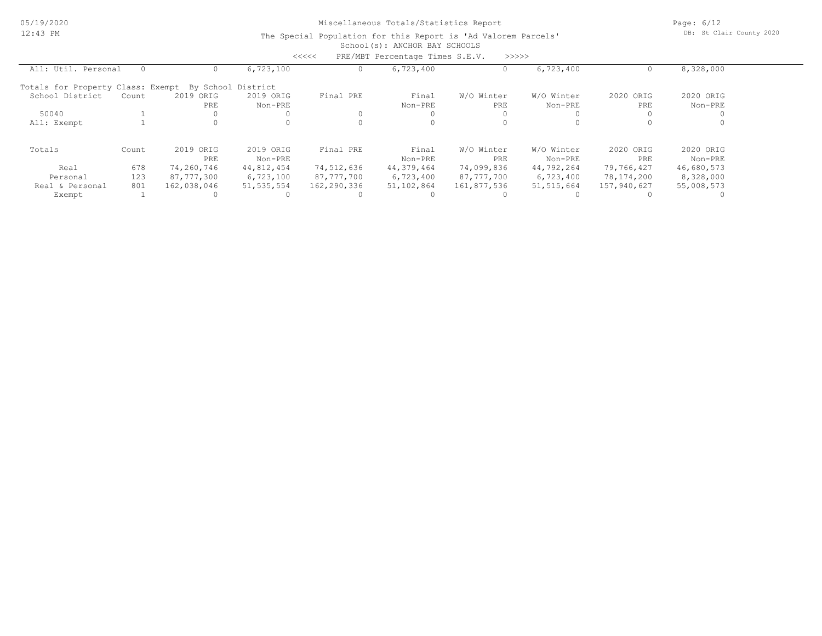05/19/2020 12:43 PM

# Miscellaneous Totals/Statistics Report

Page: 6/12 DB: St Clair County 2020

#### School(s): ANCHOR BAY SCHOOLS The Special Population for this Report is 'Ad Valorem Parcels'

|                                                      |       |             |              | <<<<        | PRE/MBT Percentage Times S.E.V. | >>>>>       |              |             |            |  |
|------------------------------------------------------|-------|-------------|--------------|-------------|---------------------------------|-------------|--------------|-------------|------------|--|
| All: Util. Personal                                  |       |             | 6,723,100    |             | 6,723,400                       |             | 6,723,400    |             | 8,328,000  |  |
| Totals for Property Class: Exempt By School District |       |             |              |             |                                 |             |              |             |            |  |
| School District                                      | Count | 2019 ORIG   | 2019 ORIG    | Final PRE   | Final                           | W/O Winter  | W/O Winter   | 2020 ORIG   | 2020 ORIG  |  |
|                                                      |       | PRE         | Non-PRE      |             | Non-PRE                         | PRE         | Non-PRE      | PRE         | Non-PRE    |  |
| 50040                                                |       |             |              |             |                                 |             |              |             |            |  |
| All: Exempt                                          |       |             |              |             |                                 |             |              |             |            |  |
| Totals                                               | Count | 2019 ORIG   | 2019 ORIG    | Final PRE   | Final                           | W/O Winter  | W/O Winter   | 2020 ORIG   | 2020 ORIG  |  |
|                                                      |       | PRE         | Non-PRE      |             | Non-PRE                         | PRE         | Non-PRE      | PRE         | Non-PRE    |  |
| Real                                                 | 678   | 74,260,746  | 44,812,454   | 74,512,636  | 44,379,464                      | 74,099,836  | 44,792,264   | 79,766,427  | 46,680,573 |  |
| Personal                                             | 123   | 87,777,300  | 6,723,100    | 87,777,700  | 6,723,400                       | 87,777,700  | 6,723,400    | 78,174,200  | 8,328,000  |  |
| Real & Personal                                      | 801   | 162,038,046 | 51, 535, 554 | 162,290,336 | 51,102,864                      | 161,877,536 | 51, 515, 664 | 157,940,627 | 55,008,573 |  |
| Exempt                                               |       |             |              |             |                                 |             |              |             |            |  |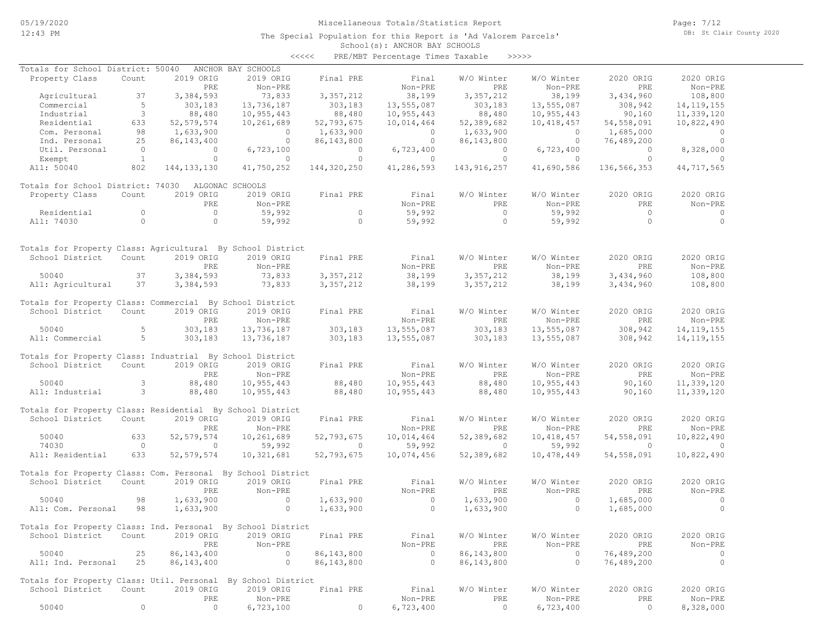The Special Population for this Report is 'Ad Valorem Parcels'

Page: 7/12 DB: St Clair County 2020

### School(s): ANCHOR BAY SCHOOLS <<<<< PRE/MBT Percentage Times Taxable >>>>>

| Totals for School District: 50040 ANCHOR BAY SCHOOLS                                                                                                                 |                 |                           |                                                                                                                                                                                       |                                        |                             |                                                                         |                                                                                 |                                                                                     |                          |
|----------------------------------------------------------------------------------------------------------------------------------------------------------------------|-----------------|---------------------------|---------------------------------------------------------------------------------------------------------------------------------------------------------------------------------------|----------------------------------------|-----------------------------|-------------------------------------------------------------------------|---------------------------------------------------------------------------------|-------------------------------------------------------------------------------------|--------------------------|
| Property Class                                                                                                                                                       | Count           | 2019 ORIG                 | 2019 ORIG                                                                                                                                                                             | Final PRE                              | Final                       | W/O Winter                                                              |                                                                                 |                                                                                     | 2020 ORIG                |
|                                                                                                                                                                      |                 | PRE                       |                                                                                                                                                                                       |                                        |                             |                                                                         |                                                                                 |                                                                                     | Non-PRE                  |
|                                                                                                                                                                      |                 | Agricultural 37 3,384,593 | Non-PRE<br>73,833                                                                                                                                                                     | 3, 357, 212                            |                             | Non-PRE<br>38,199 3,357,212<br>303,183                                  |                                                                                 | W/O Winter<br>Non-PRE<br>38, 199 3, 434, 960<br>58, 199 308, 942<br>755 087 90, 160 | 108,800                  |
| Agriculturar 37 3,330<br>Commercial 5 30<br>Industrial 5 8<br>Residential 633 52,57<br>Com. Personal 98 1,63<br>Ind. Personal 25 86,14<br>Util. Personal 0<br>Exempt |                 | 303,183                   | 13,736,187                                                                                                                                                                            | 303,183                                | 13,555,087                  | 303,183                                                                 |                                                                                 |                                                                                     | 14, 119, 155             |
|                                                                                                                                                                      |                 | 88,480                    | 10,955,443                                                                                                                                                                            | 88,480                                 | 10,955,443                  | 88,480                                                                  |                                                                                 |                                                                                     | 11,339,120               |
|                                                                                                                                                                      |                 | 52, 579, 574              | 10,261,689                                                                                                                                                                            | 52,793,675                             |                             | 10,014,464 52,389,682                                                   | 10,418,457                                                                      | 54,558,091                                                                          | 10,822,490               |
|                                                                                                                                                                      |                 |                           |                                                                                                                                                                                       |                                        |                             |                                                                         |                                                                                 |                                                                                     |                          |
|                                                                                                                                                                      |                 | 1,633,900                 |                                                                                                                                                                                       |                                        |                             |                                                                         |                                                                                 | 1,685,000                                                                           | $\overline{0}$           |
|                                                                                                                                                                      |                 |                           |                                                                                                                                                                                       |                                        |                             |                                                                         |                                                                                 | 76,489,200                                                                          | $\overline{\phantom{0}}$ |
|                                                                                                                                                                      |                 |                           | $32,193,675$<br>$3,633,900$<br>$86,143,400$<br>$6,723,100$<br>$6,723,100$                                                                                                             |                                        |                             |                                                                         |                                                                                 | $\overline{0}$                                                                      | 8,328,000                |
|                                                                                                                                                                      |                 | $\overline{0}$            | $\sim$ 0                                                                                                                                                                              | $\overline{0}$                         | $\sim$ 0                    | $\overline{0}$                                                          | $\sim$ 0.000 $\sim$ 0.000 $\sim$                                                | $\bigcap$                                                                           |                          |
| All: 50040                                                                                                                                                           | 802             | 144, 133, 130             |                                                                                                                                                                                       | 41,750,252 144,320,250 41,286,593      |                             |                                                                         | 143,916,257 41,690,586                                                          | 136,566,353                                                                         | 44,717,565               |
| Totals for School District: 74030 ALGONAC SCHOOLS                                                                                                                    |                 |                           |                                                                                                                                                                                       |                                        |                             |                                                                         |                                                                                 |                                                                                     |                          |
| Property Class                                                                                                                                                       | Count           | 2019 ORIG                 |                                                                                                                                                                                       | 2019 ORIG Final PRE                    | Final                       | W/O Winter                                                              | W/O Winter                                                                      | 2020 ORIG                                                                           | 2020 ORIG                |
|                                                                                                                                                                      |                 | PRE                       | Non-PRE                                                                                                                                                                               |                                        | Non-PRE                     | <b>PRE</b>                                                              | Non-PRE                                                                         | PRE                                                                                 | Non-PRE                  |
|                                                                                                                                                                      |                 | $\overline{0}$            | 59,992                                                                                                                                                                                |                                        | 59,992                      |                                                                         |                                                                                 | $\bigcirc$                                                                          | 0                        |
| Residential 0<br>All: 74030 0                                                                                                                                        |                 |                           |                                                                                                                                                                                       | $\begin{array}{c} 0 \\ 0 \end{array}$  |                             |                                                                         |                                                                                 | $0$ 59, 992 0<br>0 59, 992 0                                                        |                          |
|                                                                                                                                                                      |                 | $\sim$ 0                  | 59,992                                                                                                                                                                                |                                        | 59,992                      |                                                                         |                                                                                 |                                                                                     | $\overline{0}$           |
|                                                                                                                                                                      |                 |                           |                                                                                                                                                                                       |                                        |                             |                                                                         |                                                                                 |                                                                                     |                          |
| Totals for Property Class: Agricultural By School District                                                                                                           |                 |                           |                                                                                                                                                                                       |                                        |                             |                                                                         |                                                                                 |                                                                                     |                          |
| School District Count 2019 ORIG                                                                                                                                      |                 |                           | 2019 ORIG                                                                                                                                                                             | Final PRE                              | Final                       | W/O Winter                                                              | W/O Winter                                                                      | 2020 ORIG                                                                           | 2020 ORIG                |
|                                                                                                                                                                      |                 | PRE                       | Non-PRE                                                                                                                                                                               |                                        |                             |                                                                         | PRE Non-PRE PRE<br>212 38 199 2 424 960                                         |                                                                                     | Non-PRE                  |
| 50040                                                                                                                                                                | $\frac{37}{2}$  | 3,384,593                 | 73,833                                                                                                                                                                                | 3,357,212                              |                             |                                                                         | 38,199                                                                          | 3,434,960                                                                           | 108,800                  |
| All: Agricultural 37                                                                                                                                                 |                 | 3, 384, 593               | 73,833                                                                                                                                                                                | 3,357,212                              |                             | Non-PRE<br>38,199 3,357,212 38,199<br>38,199 3,357,212 38,199           |                                                                                 | 3,434,960                                                                           | 108,800                  |
| Totals for Property Class: Commercial By School District                                                                                                             |                 |                           |                                                                                                                                                                                       |                                        |                             |                                                                         |                                                                                 |                                                                                     |                          |
| School District Count                                                                                                                                                |                 | 2019 ORIG                 | 2019 ORIG Final PRE                                                                                                                                                                   |                                        |                             |                                                                         | W/O Winter W/O Winter                                                           | 2020 ORIG                                                                           | 2020 ORIG                |
|                                                                                                                                                                      |                 | PRE                       | Non-PRE                                                                                                                                                                               |                                        |                             |                                                                         |                                                                                 |                                                                                     | Non-PRE                  |
| 50040                                                                                                                                                                | 5 <sub>1</sub>  | 303,183                   | 13,736,187                                                                                                                                                                            | 303,183                                |                             |                                                                         |                                                                                 |                                                                                     | 14, 119, 155             |
|                                                                                                                                                                      |                 |                           |                                                                                                                                                                                       |                                        |                             |                                                                         |                                                                                 |                                                                                     |                          |
| All: Commercial 5                                                                                                                                                    |                 | 303,183                   | 13,736,187                                                                                                                                                                            | 303,183                                |                             | Final W/O Winter<br>Non-PRE<br>13,555,087 303,183<br>10 555,087 303,183 |                                                                                 |                                                                                     | 14, 119, 155             |
| Totals for Property Class: Industrial By School District                                                                                                             |                 |                           |                                                                                                                                                                                       |                                        |                             |                                                                         |                                                                                 |                                                                                     |                          |
| School District Count 2019 ORIG                                                                                                                                      |                 |                           |                                                                                                                                                                                       | 2019 ORIG Final PRE                    | Final                       | W/O Winter                                                              | W/O Winter                                                                      | 2020 ORIG                                                                           | 2020 ORIG                |
|                                                                                                                                                                      |                 | PRE                       | Non-PRE                                                                                                                                                                               |                                        |                             | Non-PRE PRE                                                             |                                                                                 |                                                                                     | Non-PRE                  |
| 50040                                                                                                                                                                | $\frac{1}{2}$ 3 | 88,480                    |                                                                                                                                                                                       |                                        |                             |                                                                         |                                                                                 | PRE Non-PRE PRE<br>88,480 10,955,443 90,160<br>88,480 10,955,443 90,160             |                          |
|                                                                                                                                                                      |                 |                           | 10,955,443                                                                                                                                                                            | 10,955,443 88,480<br>10,955,443 88,480 | 10,955,443                  |                                                                         |                                                                                 |                                                                                     | 11,339,120               |
| All: Industrial 3                                                                                                                                                    |                 | 88,480                    |                                                                                                                                                                                       |                                        | 10,955,443                  |                                                                         |                                                                                 |                                                                                     | 11,339,120               |
| Totals for Property Class: Residential By School District                                                                                                            |                 |                           |                                                                                                                                                                                       |                                        |                             |                                                                         |                                                                                 |                                                                                     |                          |
| School District                                                                                                                                                      | Count           | 2019 ORIG                 | 2019 ORIG                                                                                                                                                                             | Final PRE                              | Final<br>Non-PPF            | W/O Winter                                                              | W/O Winter                                                                      | 2020 ORIG                                                                           | 2020 ORIG                |
|                                                                                                                                                                      |                 | PRE                       | Non-PRE                                                                                                                                                                               |                                        | Non-PRE                     | PRE                                                                     | Non-PRE                                                                         | PRE                                                                                 | Non-PRE                  |
| 50040                                                                                                                                                                | 633             |                           |                                                                                                                                                                                       |                                        | 10,014,464                  |                                                                         | 52,389,682 10,418,457                                                           | 54,558,091                                                                          | 10,822,490               |
| 74030                                                                                                                                                                | $\overline{0}$  | $\sim$ 0                  |                                                                                                                                                                                       |                                        |                             | $59,992$ 0                                                              | 59,992                                                                          | $\sim$ 0                                                                            | $\sim$ 0                 |
| All: Residential                                                                                                                                                     | 633             |                           | $52,579,574 \qquad \qquad 10,261,689 \qquad \qquad 52,793,675$ $\qquad \qquad 0 \qquad \qquad 59,992 \qquad \qquad 0 \\ 52,579,574 \qquad \qquad 10,321,681 \qquad \qquad 52,793,675$ |                                        | 10,074,456                  | 52,389,682                                                              | 10,478,449                                                                      | 54,558,091                                                                          | 10,822,490               |
| Totals for Property Class: Com. Personal By School District                                                                                                          |                 |                           |                                                                                                                                                                                       |                                        |                             |                                                                         |                                                                                 |                                                                                     |                          |
| School District Count 2019 ORIG                                                                                                                                      |                 |                           | 2019 ORIG                                                                                                                                                                             | Final PRE                              |                             | W/O Winter                                                              | W/O Winter                                                                      | 2020 ORIG                                                                           | 2020 ORIG                |
|                                                                                                                                                                      |                 | PRE                       |                                                                                                                                                                                       |                                        | Final<br>Non-PRE<br>Non-PRE | an an Aonaichte<br>Bailtean                                             |                                                                                 | PRE                                                                                 | Non-PRE                  |
|                                                                                                                                                                      |                 |                           | $Non-PRE$                                                                                                                                                                             |                                        |                             |                                                                         | $\begin{minipage}{.4\linewidth} \texttt{PRE} & \texttt{Non-PRE} \end{minipage}$ |                                                                                     |                          |
| 50040                                                                                                                                                                | 98              | 1,633,900                 | $\overline{0}$                                                                                                                                                                        | 1,633,900                              |                             | $0 \t 1,633,900$                                                        | $\sim$ 0                                                                        | 1,685,000                                                                           | $\sim$ 0                 |
| All: Com. Personal 98                                                                                                                                                |                 | 1,633,900                 | $\sim$ 0                                                                                                                                                                              | 1,633,900                              | $\sim$ 0                    | 1,633,900                                                               | $\overline{0}$                                                                  | 1,685,000                                                                           | $\overline{\phantom{0}}$ |
| Totals for Property Class: Ind. Personal By School District                                                                                                          |                 |                           |                                                                                                                                                                                       |                                        |                             |                                                                         |                                                                                 |                                                                                     |                          |
| School District Count 2019 ORIG                                                                                                                                      |                 |                           | 2019 ORIG                                                                                                                                                                             | Final PRE                              |                             | Final W/O Winter W/O Winter<br>Non-PRE PRE Non-PRE                      | W/O Winter W/O Winter                                                           | 2020 ORIG                                                                           | 2020 ORIG                |
|                                                                                                                                                                      |                 | PRE                       | Non-PRE                                                                                                                                                                               |                                        |                             |                                                                         |                                                                                 | <b>PRE</b>                                                                          | Non-PRE                  |
| 50040                                                                                                                                                                | 25              | 86, 143, 400              |                                                                                                                                                                                       |                                        |                             | 86,143,800                                                              | $\sim$ 0                                                                        | 76,489,200                                                                          | $\overline{\phantom{0}}$ |
| All: Ind. Personal 25                                                                                                                                                |                 | 86,143,400                | $0 \t 86,143,800 \t 0$<br>0 $86,143,800$ 0                                                                                                                                            |                                        |                             | 86,143,800                                                              | $\sim$ 0                                                                        | 76,489,200                                                                          | $\sim$ 0                 |
| Totals for Property Class: Util. Personal By School District                                                                                                         |                 |                           |                                                                                                                                                                                       |                                        |                             |                                                                         |                                                                                 |                                                                                     |                          |
| School District Count                                                                                                                                                |                 | 2019 ORIG                 |                                                                                                                                                                                       | 2019 ORIG Final PRE                    | Final                       | W/O Winter                                                              | W/O Winter                                                                      | 2020 ORIG                                                                           | 2020 ORIG                |
|                                                                                                                                                                      |                 |                           |                                                                                                                                                                                       |                                        |                             |                                                                         |                                                                                 |                                                                                     |                          |

 50040 0 0 6,723,100 0 6,723,400 0 6,723,400 0 8,328,000 PRE Non-PRE Non-PRE PRE Non-PRE PRE Non-PRE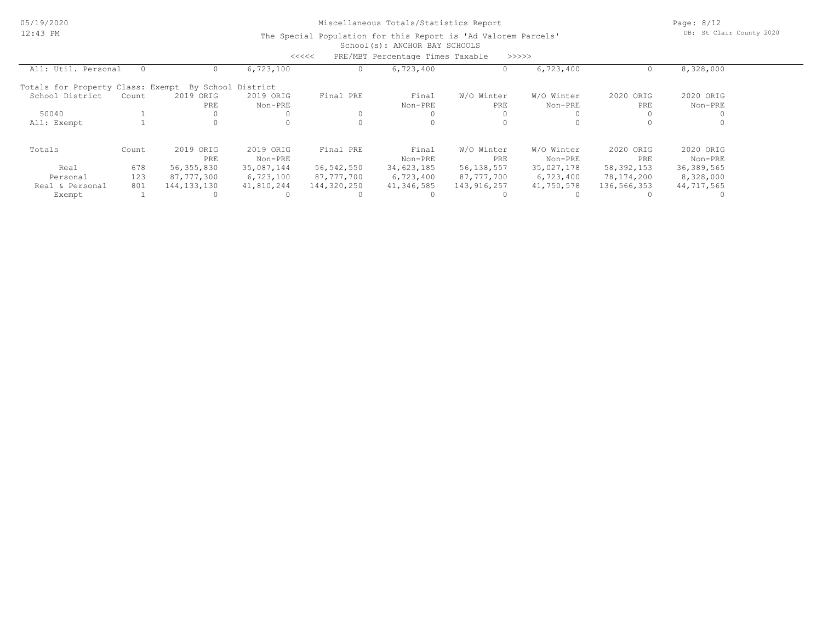Page: 8/12 DB: St Clair County 2020

#### School(s): ANCHOR BAY SCHOOLS The Special Population for this Report is 'Ad Valorem Parcels'

|                                   |       |                  |                      | <<<<        | PRE/MBT Percentage Times Taxable |                   | >>>>>                 |                  |                      |  |
|-----------------------------------|-------|------------------|----------------------|-------------|----------------------------------|-------------------|-----------------------|------------------|----------------------|--|
| All: Util. Personal               |       |                  | 6,723,100            |             | 6,723,400                        |                   | 6,723,400             |                  | 8,328,000            |  |
| Totals for Property Class: Exempt |       |                  | By School District   |             |                                  |                   |                       |                  |                      |  |
| School District                   | Count | 2019 ORIG<br>PRE | 2019 ORIG<br>Non-PRE | Final PRE   | Final<br>Non-PRE                 | W/O Winter<br>PRE | W/O Winter<br>Non-PRE | 2020 ORIG<br>PRE | 2020 ORIG<br>Non-PRE |  |
| 50040                             |       |                  |                      |             |                                  |                   |                       |                  |                      |  |
| All: Exempt                       |       |                  |                      |             |                                  |                   |                       |                  |                      |  |
| Totals                            | Count | 2019 ORIG        | 2019 ORIG            | Final PRE   | Final                            | W/O Winter        | W/O Winter            | 2020 ORIG        | 2020 ORIG            |  |
|                                   |       | PRE              | Non-PRE              |             | Non-PRE                          | PRE               | Non-PRE               | PRE              | Non-PRE              |  |
| Real                              | 678   | 56, 355, 830     | 35,087,144           | 56,542,550  | 34,623,185                       | 56,138,557        | 35,027,178            | 58, 392, 153     | 36, 389, 565         |  |
| Personal                          | 123   | 87,777,300       | 6,723,100            | 87,777,700  | 6,723,400                        | 87,777,700        | 6,723,400             | 78,174,200       | 8,328,000            |  |
| Real & Personal                   | 801   | 144, 133, 130    | 41,810,244           | 144,320,250 | 41,346,585                       | 143, 916, 257     | 41,750,578            | 136,566,353      | 44,717,565           |  |
| Exempt                            |       |                  |                      |             |                                  |                   |                       |                  |                      |  |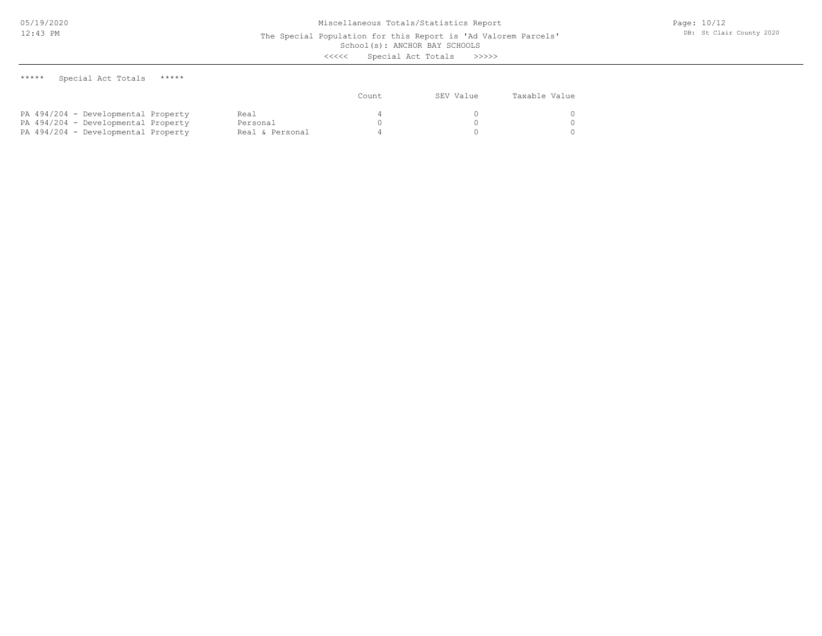School(s): ANCHOR BAY SCHOOLS

<<<<< Special Act Totals >>>>>

\*\*\*\*\* Special Act Totals \*\*\*\*\*

|                                     |                 | Count | SEV Value | Taxable Value |
|-------------------------------------|-----------------|-------|-----------|---------------|
| PA 494/204 - Developmental Property | Real            |       |           |               |
| PA 494/204 - Developmental Property | Personal        |       |           |               |
| PA 494/204 - Developmental Property | Real & Personal |       |           |               |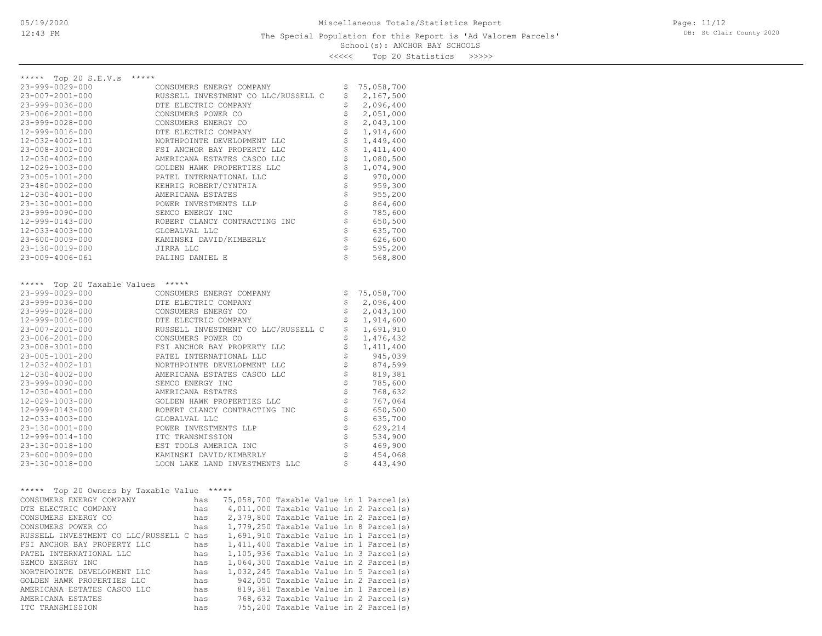### School(s): ANCHOR BAY SCHOOLS The Special Population for this Report is 'Ad Valorem Parcels'

<<<<< Top 20 Statistics >>>>>

| ***** Top 20 S.E.V.s *****                 |                                                                                                                                                                                                                                                                                                                                                  |                                |             |
|--------------------------------------------|--------------------------------------------------------------------------------------------------------------------------------------------------------------------------------------------------------------------------------------------------------------------------------------------------------------------------------------------------|--------------------------------|-------------|
| 23-999-0029-000                            | CONSUMERS ENERGY COMPANY                                                                                                                                                                                                                                                                                                                         | \$                             | 75,058,700  |
| 23-007-2001-000                            | RUSSELL INVESTMENT CO LLC/RUSSELL C                                                                                                                                                                                                                                                                                                              | \$                             | 2,167,500   |
| 23-999-0036-000                            | DTE ELECTRIC COMPANY                                                                                                                                                                                                                                                                                                                             | \$                             | 2,096,400   |
| 23-006-2001-000                            | CONSUMERS POWER CO                                                                                                                                                                                                                                                                                                                               | \$                             | 2,051,000   |
| 23-999-0028-000                            | CONSUMERS ENERGY CO                                                                                                                                                                                                                                                                                                                              | $\dot{\boldsymbol{\varsigma}}$ | 2,043,100   |
| 12-999-0016-000                            | DTE ELECTRIC COMPANY                                                                                                                                                                                                                                                                                                                             | \$                             | 1,914,600   |
| 12-032-4002-101                            | NORTHPOINTE DEVELOPMENT LLC                                                                                                                                                                                                                                                                                                                      | \$                             | 1,449,400   |
| 23-008-3001-000                            | FSI ANCHOR BAY PROPERTY LLC                                                                                                                                                                                                                                                                                                                      | $\boldsymbol{\mathsf{S}}$      | 1,411,400   |
| 12-030-4002-000                            | AMERICANA ESTATES CASCO LLC                                                                                                                                                                                                                                                                                                                      | $\uparrow$                     | 1,080,500   |
| 12-029-1003-000                            | GOLDEN HAWK PROPERTIES LLC                                                                                                                                                                                                                                                                                                                       | $\ddot{\varsigma}$             | 1,074,900   |
| 23-005-1001-200                            | PATEL INTERNATIONAL LLC                                                                                                                                                                                                                                                                                                                          | $\boldsymbol{\xi}$             | 970,000     |
| 23-480-0002-000                            | KEHRIG ROBERT/CYNTHIA                                                                                                                                                                                                                                                                                                                            | $\boldsymbol{\mathsf{S}}$      | 959,300     |
| 12-030-4001-000                            | AMERICANA ESTATES                                                                                                                                                                                                                                                                                                                                | $\ddot{\varsigma}$             | 955,200     |
| 23-130-0001-000                            | POWER INVESTMENTS LLP                                                                                                                                                                                                                                                                                                                            | $\boldsymbol{\dot{\varsigma}}$ | 864,600     |
| 23-999-0090-000                            | SEMCO ENERGY INC                                                                                                                                                                                                                                                                                                                                 | $\mathsf{S}^-$                 | 785,600     |
| 12-999-0143-000                            | ROBERT CLANCY CONTRACTING INC                                                                                                                                                                                                                                                                                                                    | $\mathsf{S}$                   | 650,500     |
| 12-033-4003-000                            | GLOBALVAL LLC                                                                                                                                                                                                                                                                                                                                    | $\mathbb{S}^-$                 | 635,700     |
| $23 - 600 - 0009 - 000$                    | KAMINSKI DAVID/KIMBERLY                                                                                                                                                                                                                                                                                                                          | $\mathbb{S}$                   | 626,600     |
| 23-130-0019-000                            | JIRRA LLC                                                                                                                                                                                                                                                                                                                                        | $\mathsf{S}$                   | 595,200     |
| 23-009-4006-061                            | PALING DANIEL E                                                                                                                                                                                                                                                                                                                                  | $\mathsf{S}$                   | 568,800     |
|                                            |                                                                                                                                                                                                                                                                                                                                                  |                                |             |
| ***** Top 20 Taxable Values *****          |                                                                                                                                                                                                                                                                                                                                                  |                                |             |
| 23-999-0029-000                            | CONSUMERS ENERGY COMPANY                                                                                                                                                                                                                                                                                                                         | \$                             | 75,058,700  |
| 23-999-0036-000                            | DTE ELECTRIC COMPANY                                                                                                                                                                                                                                                                                                                             | \$                             | 2,096,400   |
| 23-999-0028-000                            | CONSUMERS ENERGY CO                                                                                                                                                                                                                                                                                                                              | \$                             | 2,043,100   |
| 12-999-0016-000                            | DTE ELECTRIC COMPANY                                                                                                                                                                                                                                                                                                                             | \$                             | 1,914,600   |
| 23-007-2001-000                            | RUSSELL INVESTMENT CO LLC/RUSSELL C                                                                                                                                                                                                                                                                                                              | \$                             | 1,691,910   |
| 23-006-2001-000                            | CONSUMERS POWER CO                                                                                                                                                                                                                                                                                                                               | \$                             | 1,476,432   |
| 23-008-3001-000                            | FSI ANCHOR BAY PROPERTY LLC                                                                                                                                                                                                                                                                                                                      | \$                             | 1, 411, 400 |
| 23-005-1001-200                            | PATEL INTERNATIONAL LLC                                                                                                                                                                                                                                                                                                                          | $\ddot{\tilde{\mathbf{S}}}$    | 945,039     |
| 12-032-4002-101                            | NORTHPOINTE DEVELOPMENT LLC                                                                                                                                                                                                                                                                                                                      | $\boldsymbol{\mathsf{S}}$      | 874,599     |
| 12-030-4002-000                            | AMERICANA ESTATES CASCO LLC                                                                                                                                                                                                                                                                                                                      | $\dot{\tilde{\mathbf{s}}}$     | 819,381     |
| 23-999-0090-000                            | SEMCO ENERGY INC                                                                                                                                                                                                                                                                                                                                 | $\ddot{\mathsf{s}}$            | 785,600     |
| 12-030-4001-000                            | AMERICANA ESTATES                                                                                                                                                                                                                                                                                                                                | $\mathsf{S}$                   | 768,632     |
| 12-029-1003-000                            | GOLDEN HAWK PROPERTIES LLC                                                                                                                                                                                                                                                                                                                       | $\boldsymbol{\mathsf{S}}$      | 767,064     |
| 12-999-0143-000                            | ROBERT CLANCY CONTRACTING INC                                                                                                                                                                                                                                                                                                                    | $\boldsymbol{\hat{\succdd}}$   | 650,500     |
| 12-033-4003-000                            | GLOBALVAL LLC                                                                                                                                                                                                                                                                                                                                    | $\mathsf{S}^-$                 | 635,700     |
| 23-130-0001-000                            | POWER INVESTMENTS LLP                                                                                                                                                                                                                                                                                                                            | $\boldsymbol{\xi}$             | 629,214     |
| 12-999-0014-100                            | ITC TRANSMISSION                                                                                                                                                                                                                                                                                                                                 | $\ddot{\mathsf{s}}$            | 534,900     |
| 23-130-0018-100                            | EST TOOLS AMERICA INC                                                                                                                                                                                                                                                                                                                            | $\mathsf{S}$                   | 469,900     |
| 23-600-0009-000                            | KAMINSKI DAVID/KIMBERLY                                                                                                                                                                                                                                                                                                                          | $\mathsf{S}$                   | 454,068     |
| 23-130-0018-000                            | LOON LAKE LAND INVESTMENTS LLC                                                                                                                                                                                                                                                                                                                   | $\sqrt{5}$                     | 443,490     |
|                                            |                                                                                                                                                                                                                                                                                                                                                  |                                |             |
| ***** Top 20 Owners by Taxable Value ***** |                                                                                                                                                                                                                                                                                                                                                  |                                |             |
| CONSUMERS ENERGY COMPANY                   | has 75,058,700 Taxable Value in 1 Parcel(s)                                                                                                                                                                                                                                                                                                      |                                |             |
| DTE ELECTRIC COMPANY                       | 4,011,000 Taxable Value in 2 Parcel(s)<br>has                                                                                                                                                                                                                                                                                                    |                                |             |
| CONSUMERS ENERGY CO                        | has 2,379,800 Taxable Value in 2 Parcel(s)<br>has 1,779,250 Taxable Value in 8 Parcel(s)                                                                                                                                                                                                                                                         |                                |             |
| CONSUMERS POWER CO                         |                                                                                                                                                                                                                                                                                                                                                  |                                |             |
| RUSSELL INVESTMENT CO LLC/RUSSELL C has    | 1,691,910 Taxable Value in 1 Parcel(s)                                                                                                                                                                                                                                                                                                           |                                |             |
|                                            | NOSSELL INTERNATIONAL LLC<br>PATEL INTERNATIONAL LLC<br>PATEL INTERNATIONAL LLC<br>PATEL INTERNATIONAL LLC<br>PATEL INTERNATIONAL LLC<br>$\begin{array}{ccc} \text{has} & 1,411,400 \text{ taxable Value in 1 Parel(s)} \\ \text{has} & 1,105,936 \text{ Taxable Value in 3 Parec1(s)} \\ \text{has} & 1,064,300 \text{ Taxable Value in 2 Pare$ |                                |             |
|                                            |                                                                                                                                                                                                                                                                                                                                                  |                                |             |
|                                            |                                                                                                                                                                                                                                                                                                                                                  |                                |             |
| NORTHPOINTE DEVELOPMENT LLC                | has<br>$1,032,245$ Taxable Value in 5 Parcel(s)                                                                                                                                                                                                                                                                                                  |                                |             |
| GOLDEN HAWK PROPERTIES LLC                 | 942,050 Taxable Value in 2 Parcel(s)<br>has                                                                                                                                                                                                                                                                                                      |                                |             |
| AMERICANA ESTATES CASCO LLC                | 819,381 Taxable Value in 1 Parcel(s)<br>has                                                                                                                                                                                                                                                                                                      |                                |             |

ITC TRANSMISSION has 755,200 Taxable Value in 2 Parcel(s) AMERICANA ESTATES has 768,632 Taxable Value in 2 Parcel(s)